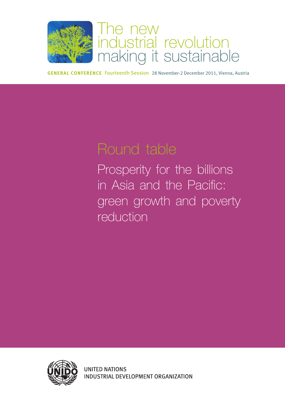

# The new industrial revolution making it sustainable

**General Conference** Fourteenth Session 28 November-2 December 2011, Vienna, Austria

Prosperity for the billions in Asia and the Pacific: green growth and poverty reduction

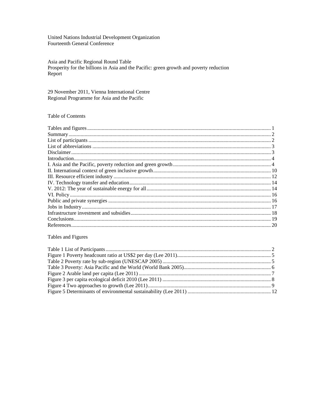United Nations Industrial Development Organization Fourteenth General Conference

Asia and Pacific Regional Round Table Prosperity for the billions in Asia and the Pacific: green growth and poverty reduction Report

29 November 2011, Vienna International Centre Regional Programme for Asia and the Pacific

## Table of Contents

Tables and Figures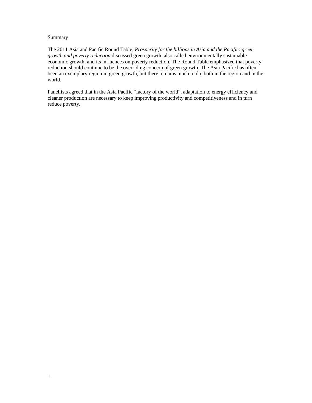#### Summary

The 2011 Asia and Pacific Round Table, *Prosperity for the billions in Asia and the Pacific: green growth and poverty reduction* discussed green growth, also called environmentally sustainable economic growth, and its influences on poverty reduction. The Round Table emphasized that poverty reduction should continue to be the overriding concern of green growth. The Asia Pacific has often been an exemplary region in green growth, but there remains much to do, both in the region and in the world.

Panellists agreed that in the Asia Pacific "factory of the world", adaptation to energy efficiency and cleaner production are necessary to keep improving productivity and competitiveness and in turn reduce poverty.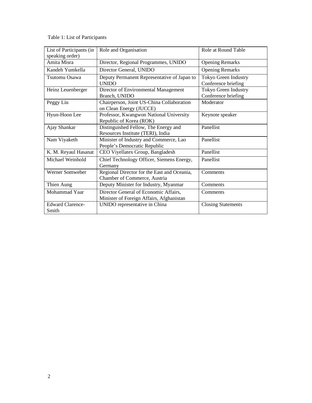Table 1: List of Participants

| List of Participants (in<br>speaking order) | Role and Organisation                                                             | Role at Round Table                         |
|---------------------------------------------|-----------------------------------------------------------------------------------|---------------------------------------------|
| Amita Misra                                 | Director, Regional Programmes, UNIDO                                              | <b>Opening Remarks</b>                      |
| Kandeh Yumkella                             | Director General, UNIDO                                                           | <b>Opening Remarks</b>                      |
| Tsutomu Osawa                               | Deputy Permanent Representative of Japan to<br><b>UNIDO</b>                       | Tokyo Green Industry<br>Conference briefing |
| Heinz Leuenberger                           | Director of Environmental Management<br>Branch, UNIDO                             | Tokyo Green Industry<br>Conference briefing |
| Peggy Liu                                   | Chairperson, Joint US-China Collaboration<br>on Clean Energy (JUCCE)              | Moderator                                   |
| Hyun-Hoon Lee                               | Professor, Kwangwon National University<br>Republic of Korea (ROK)                | Keynote speaker                             |
| Ajay Shankar                                | Distinguished Fellow, The Energy and<br>Resources Institute (TERI), India         | Panellist                                   |
| Nam Viyaketh                                | Minister of Industry and Commerce, Lao<br>People's Democratic Republic            | Panellist                                   |
| K. M. Reyaul Hasanat                        | CEO Viyellatex Group, Bangladesh                                                  | Panellist                                   |
| Michael Weinhold                            | Chief Technology Officer, Siemens Energy,<br>Germany                              | Panellist                                   |
| Werner Somweber                             | Regional Director for the East and Oceania,<br>Chamber of Commerce, Austria       | Comments                                    |
| Thien Aung                                  | Deputy Minister for Industry, Myanmar                                             | Comments                                    |
| Mohammad Yaar                               | Director General of Economic Affairs,<br>Minister of Foreign Affairs, Afghanistan | Comments                                    |
| <b>Edward Clarence-</b><br>Smith            | UNIDO representative in China                                                     | <b>Closing Statements</b>                   |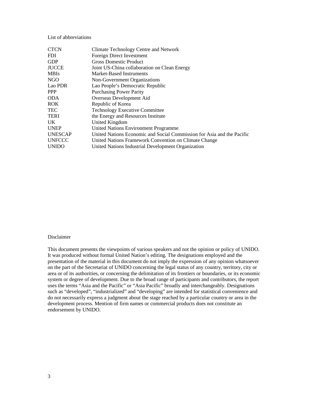#### List of abbreviations

| <b>CTCN</b>    | Climate Technology Centre and Network                                  |
|----------------|------------------------------------------------------------------------|
| FDI            | Foreign Direct Investment                                              |
| GDP            | <b>Gross Domestic Product</b>                                          |
| JUCCE          | Joint US-China collaboration on Clean Energy                           |
| MBIs           | Market-Based Instruments                                               |
| NGO            | Non-Government Organizations                                           |
| Lao PDR        | Lao People's Democratic Republic                                       |
| <b>PPP</b>     | <b>Purchasing Power Parity</b>                                         |
| ODA            | Overseas Development Aid                                               |
| ROK.           | Republic of Korea                                                      |
| TEC            | <b>Technology Executive Committee</b>                                  |
| TERI           | the Energy and Resources Institute                                     |
| UK             | United Kingdom                                                         |
| <b>UNEP</b>    | <b>United Nations Environment Programme</b>                            |
| <b>UNESCAP</b> | United Nations Economic and Social Commission for Asia and the Pacific |
| <b>UNFCCC</b>  | United Nations Framework Convention on Climate Change                  |
| <b>UNIDO</b>   | United Nations Industrial Development Organization                     |
|                |                                                                        |

#### Disclaimer

This document presents the viewpoints of various speakers and not the opinion or policy of UNIDO. It was produced without formal United Nation's editing. The designations employed and the presentation of the material in this document do not imply the expression of any opinion whatsoever on the part of the Secretariat of UNIDO concerning the legal status of any country, territory, city or area or of its authorities, or concerning the delimitation of its frontiers or boundaries, or its economic system or degree of development. Due to the broad range of participants and contributors, the report uses the terms "Asia and the Pacific" or "Asia Pacific" broadly and interchangeably. Designations such as "developed", "industrialized" and "developing" are intended for statistical convenience and do not necessarily express a judgment about the stage reached by a particular country or area in the development process. Mention of firm names or commercial products does not constitute an endorsement by UNIDO.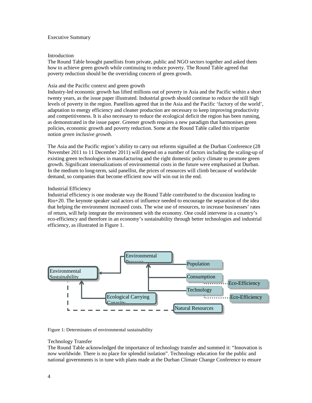#### Executive Summary

#### Introduction

The Round Table brought panellists from private, public and NGO sectors together and asked them how to achieve green growth while continuing to reduce poverty. The Round Table agreed that poverty reduction should be the overriding concern of green growth.

#### Asia and the Pacific context and green growth

Industry-led economic growth has lifted millions out of poverty in Asia and the Pacific within a short twenty years, as the issue paper illustrated. Industrial growth should continue to reduce the still high levels of poverty in the region. Panellists agreed that in the Asia and the Pacific 'factory of the world', adaptation to energy efficiency and cleaner production are necessary to keep improving productivity and competitiveness. It is also necessary to reduce the ecological deficit the region has been running, as demonstrated in the issue paper. Greener growth requires a new paradigm that harmonises green policies, economic growth and poverty reduction. Some at the Round Table called this tripartite notion *green inclusive growth.* 

The Asia and the Pacific region's ability to carry out reforms signalled at the Durban Conference (28 November 2011 to 11 December 2011) will depend on a number of factors including the scaling-up of existing green technologies in manufacturing and the right domestic policy climate to promote green growth. Significant internalizations of environmental costs in the future were emphasised at Durban. In the medium to long-term, said panellist, the prices of resources will climb because of worldwide demand, so companies that become efficient now will win out in the end.

### Industrial Efficiency

Industrial efficiency is one moderate way the Round Table contributed to the discussion leading to Rio+20. The keynote speaker said actors of influence needed to encourage the separation of the idea that helping the environment increased costs. The wise use of resources, to increase businesses' rates of return, will help integrate the environment with the economy. One could intervene in a country's eco-efficiency and therefore in an economy's sustainability through better technologies and industrial efficiency, as illustrated in Figure 1.



Figure 1: Determinates of environmental sustainability

#### Technology Transfer

The Round Table acknowledged the importance of technology transfer and summed it: "Innovation is now worldwide. There is no place for splendid isolation". Technology education for the public and national governments is in tune with plans made at the Durban Climate Change Conference to ensure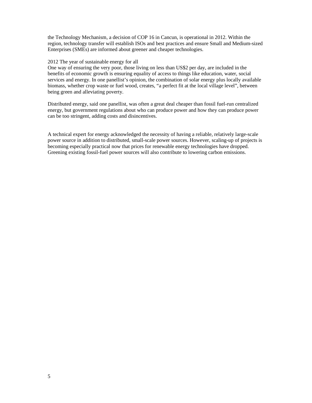the Technology Mechanism, a decision of COP 16 in Cancun, is operational in 2012. Within the region, technology transfer will establish ISOs and best practices and ensure Small and Medium-sized Enterprises (SMEs) are informed about greener and cheaper technologies.

#### 2012 The year of sustainable energy for all

One way of ensuring the very poor, those living on less than US\$2 per day, are included in the benefits of economic growth is ensuring equality of access to things like education, water, social services and energy. In one panellist's opinion, the combination of solar energy plus locally available biomass, whether crop waste or fuel wood, creates, "a perfect fit at the local village level", between being green and alleviating poverty.

Distributed energy, said one panellist, was often a great deal cheaper than fossil fuel-run centralized energy, but government regulations about who can produce power and how they can produce power can be too stringent, adding costs and disincentives.

A technical expert for energy acknowledged the necessity of having a reliable, relatively large-scale power source in addition to distributed, small-scale power sources. However, scaling-up of projects is becoming especially practical now that prices for renewable energy technologies have dropped. Greening existing fossil-fuel power sources will also contribute to lowering carbon emissions.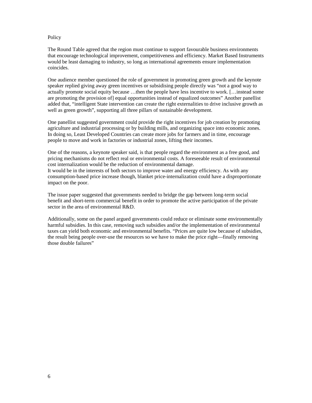#### **Policy**

The Round Table agreed that the region must continue to support favourable business environments that encourage technological improvement, competitiveness and efficiency. Market Based Instruments would be least damaging to industry, so long as international agreements ensure implementation coincides.

One audience member questioned the role of government in promoting green growth and the keynote speaker replied giving away green incentives or subsidising people directly was "not a good way to actually promote social equity because …then the people have less incentive to work. […instead some are promoting the provision of] equal opportunities instead of equalized outcomes" Another panellist added that, "intelligent State intervention can create the right externalities to drive inclusive growth as well as green growth", supporting all three pillars of sustainable development.

One panellist suggested government could provide the right incentives for job creation by promoting agriculture and industrial processing or by building mills, and organizing space into economic zones. In doing so, Least Developed Countries can create more jobs for farmers and in time, encourage people to move and work in factories or industrial zones, lifting their incomes.

One of the reasons, a keynote speaker said, is that people regard the environment as a free good, and pricing mechanisms do not reflect real or environmental costs. A foreseeable result of environmental cost internalization would be the reduction of environmental damage. It would be in the interests of both sectors to improve water and energy efficiency. As with any consumption-based price increase though, blanket price-internalization could have a disproportionate impact on the poor.

The issue paper suggested that governments needed to bridge the gap between long-term social benefit and short-term commercial benefit in order to promote the active participation of the private sector in the area of environmental R&D.

Additionally, some on the panel argued governments could reduce or eliminate some environmentally harmful subsidies. In this case, removing such subsidies and/or the implementation of environmental taxes can yield both economic and environmental benefits. "Prices are quite low because of subsidies, the result being people over-use the resources so we have to make the price right—finally removing those double failures"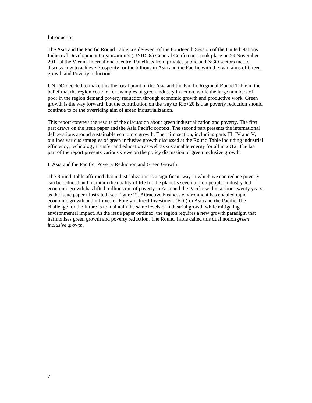#### Introduction

The Asia and the Pacific Round Table, a side-event of the Fourteenth Session of the United Nations Industrial Development Organization's (UNIDOs) General Conference, took place on 29 November 2011 at the Vienna International Centre. Panellists from private, public and NGO sectors met to discuss how to achieve Prosperity for the billions in Asia and the Pacific with the twin aims of Green growth and Poverty reduction.

UNIDO decided to make this the focal point of the Asia and the Pacific Regional Round Table in the belief that the region could offer examples of green industry in action, while the large numbers of poor in the region demand poverty reduction through economic growth and productive work. Green growth is the way forward, but the contribution on the way to Rio+20 is that poverty reduction should continue to be the overriding aim of green industrialization.

This report conveys the results of the discussion about green industrialization and poverty. The first part draws on the issue paper and the Asia Pacific context. The second part presents the international deliberations around sustainable economic growth. The third section, including parts III, IV and V, outlines various strategies of green inclusive growth discussed at the Round Table including industrial efficiency, technology transfer and education as well as sustainable energy for all in 2012. The last part of the report presents various views on the policy discussion of green inclusive growth.

#### I. Asia and the Pacific: Poverty Reduction and Green Growth

The Round Table affirmed that industrialization is a significant way in which we can reduce poverty can be reduced and maintain the quality of life for the planet's seven billion people. Industry-led economic growth has lifted millions out of poverty in Asia and the Pacific within a short twenty years, as the issue paper illustrated (see Figure 2). Attractive business environment has enabled rapid economic growth and influxes of Foreign Direct Investment (FDI) in Asia and the Pacific The challenge for the future is to maintain the same levels of industrial growth while mitigating environmental impact. As the issue paper outlined, the region requires a new growth paradigm that harmonises green growth and poverty reduction. The Round Table called this dual notion *green inclusive growth.*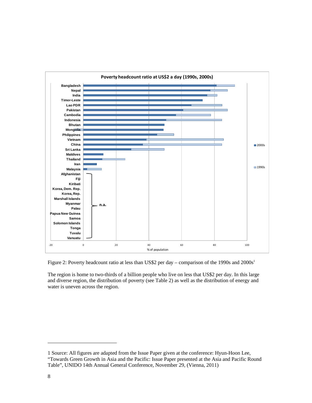

Figure 2: Poverty headcount ratio at less than US\$2 per day – comparison of the 1990s and 2000s<sup>1</sup>

The region is home to two-thirds of a billion people who live on less that US\$2 per day. In this large and diverse region, the distribution of poverty (see Table 2) as well as the distribution of energy and water is uneven across the region.

<sup>1</sup> Source: All figures are adapted from the Issue Paper given at the conference: Hyun-Hoon Lee, "Towards Green Growth in Asia and the Pacific: Issue Paper presented at the Asia and Pacific Round Table", UNIDO 14th Annual General Conference, November 29, (Vienna, 2011)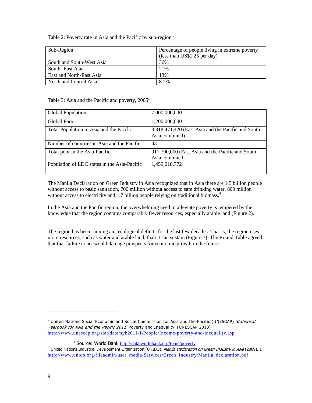Table 2: Poverty rate in Asia and the Pacific by sub-region<sup>2</sup>

| Sub-Region                | Percentage of people living in extreme poverty |
|---------------------------|------------------------------------------------|
|                           | (less than US\$1.25 per day)                   |
| South and South-West Asia | 36%                                            |
| South-East Asia           | 21%                                            |
| East and North-East Asia  | 13%                                            |
| North and Central Asia    | 8.2%                                           |

Table 3: Asia and the Pacific and poverty, 2005<sup>3</sup>

| Global Population                            | 7,000,000,000                                                        |
|----------------------------------------------|----------------------------------------------------------------------|
| Global Poor                                  | 1,200,000,000                                                        |
| Total Population in Asia and the Pacific     | 3,818,471,420 (East Asia and the Pacific and South<br>Asia combined) |
| Number of countries in Asia and the Pacific  | 43                                                                   |
| Total poor in the Asia-Pacific               | 911,790,000 (East Asia and the Pacific and South<br>Asia combined    |
| Population of LDC states in the Asia-Pacific | 1,459,018,772                                                        |

The Manila Declaration on Green Industry in Asia recognized that in Asia there are 1.5 billion people without access to basic sanitation, 700 million without access to safe drinking water, 800 million without access to electricity and 1.7 billion people relying on traditional biomass.<sup>4</sup>

In the Asia and the Pacific region, the overwhelming need to alleviate poverty is tempered by the knowledge that the region contains comparably fewer resources, especially arable land (Figure 2).

The region has been running an "ecological deficit" for the last few decades. That is, the region uses more resources, such as water and arable land, than it can sustain (Figure 3). The Round Table agreed that that failure to act would damage prospects for economic growth in the future.

<sup>2</sup> United Nations Social Economic and Social Commission for Asia and the Pacific (UNESCAP) Statistical Yearbook for Asia and the Pacific 2011 'Poverty and Inequality' (UNESCAP 2010) http://www.unescap.org/stat/data/syb2011/I-People/Income-poverty-and-inequality.asp

<sup>3</sup> Source: World Bank http://data.worldbank.org/topic/poverty

<sup>&</sup>lt;sup>4</sup> United Nations Industrial Development Organization (UNIDO), *Manila Declaration on Green Industry in Asia* (2009), 1 http://www.unido.org/fileadmin/user\_media/Services/Green\_Industry/Manila\_declaration.pdf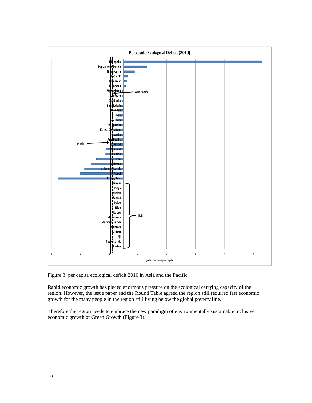

Figure 3: per capita ecological deficit 2010 in Asia and the Pacific

Rapid economic growth has placed enormous pressure on the ecological carrying capacity of the region. However, the issue paper and the Round Table agreed the region still required fast economic growth for the many people in the region still living below the global poverty line.

Therefore the region needs to embrace the new paradigm of environmentally sustainable inclusive economic growth or Green Growth (Figure 3).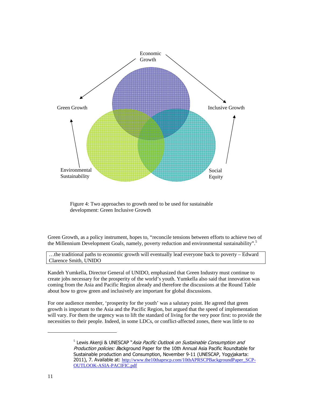

Figure 4: Two approaches to growth need to be used for sustainable development: Green Inclusive Growth

Green Growth, as a policy instrument, hopes to, "reconcile tensions between efforts to achieve two of the Millennium Development Goals, namely, poverty reduction and environmental sustainability".<sup>5</sup>

…the traditional paths to economic growth will eventually lead everyone back to poverty – Edward Clarence Smith, UNIDO

Kandeh Yumkella, Director General of UNIDO, emphasized that Green Industry must continue to create jobs necessary for the prosperity of the world's youth. Yumkella also said that innovation was coming from the Asia and Pacific Region already and therefore the discussions at the Round Table about how to grow green and inclusively are important for global discussions.

For one audience member, 'prosperity for the youth' was a salutary point. He agreed that green growth is important to the Asia and the Pacific Region, but argued that the speed of implementation will vary. For them the urgency was to lift the standard of living for the very poor first: to provide the necessities to their people. Indeed, in some LDCs, or conflict-affected zones, there was little to no

<sup>&</sup>lt;sup>5</sup> Lewis Akenji & UNESCAP "*Asia Pacific Outlook on Sustainable Consumption and* Production policies: Background Paper for the 10th Annual Asia Pacific Roundtable for Sustainable production and Consumption, November 9-11 (UNESCAP, Yogyjakarta: 2011), 7. Available at: http://www.the10thaprscp.com/10thAPRSCPBackgroundPaper\_SCP-OUTLOOK-ASIA-PACIFIC.pdf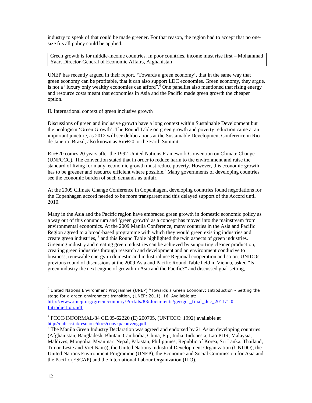industry to speak of that could be made greener. For that reason, the region had to accept that no onesize fits all policy could be applied.

Green growth is for middle-income countries. In poor countries, income must rise first – Mohammad Yaar, Director-General of Economic Affairs, Afghanistan

UNEP has recently argued in their report, 'Towards a green economy', that in the same way that green economy can be profitable, that it can also support LDC economies. Green economy, they argue, is not a "luxury only wealthy economies can afford".<sup>6</sup> One panellist also mentioned that rising energy and resource costs meant that economies in Asia and the Pacific made green growth the cheaper option.

II. International context of green inclusive growth

Discussions of green and inclusive growth have a long context within Sustainable Development but the neologism 'Green Growth'. The Round Table on green growth and poverty reduction came at an important juncture, as 2012 will see deliberations at the Sustainable Development Conference in Rio de Janeiro, Brazil, also known as Rio+20 or the Earth Summit.

Rio+20 comes 20 years after the 1992 United Nations Framework Convention on Climate Change (UNFCCC). The convention stated that in order to reduce harm to the environment and raise the standard of living for many, economic growth must reduce poverty. However, this economic growth has to be greener and resource efficient where possible.<sup>7</sup> Many governments of developing countries see the economic burden of such demands as unfair.

At the 2009 Climate Change Conference in Copenhagen, developing countries found negotiations for the Copenhagen accord needed to be more transparent and this delayed support of the Accord until 2010.

Many in the Asia and the Pacific region have embraced green growth in domestic economic policy as a way out of this conundrum and 'green growth' as a concept has moved into the mainstream from environmental economics. At the 2009 Manila Conference, many countries in the Asia and Pacific Region agreed to a broad-based programme with which they would green existing industries and create green industries, <sup>8</sup> and this Round Table highlighted the twin aspects of green industries. Greening industry and creating green industries can be achieved by supporting cleaner production, creating green industries through research and development and an environment conducive to business, renewable energy in domestic and industrial use Regional cooperation and so on. UNIDOs previous round of discussions at the 2009 Asia and Pacific Round Table held in Vienna, asked "Is green industry the next engine of growth in Asia and the Pacific?" and discussed goal-setting,

 $^6$  United Nations Environment Programme (UNEP) "Towards a Green Economy: Introduction - Setting the stage for a green environment transition, (UNEP: 2011), 16. Available at: http://www.unep.org/greeneconomy/Portals/88/documents/ger/ger\_final\_dec\_2011/1.0- Introduction.pdf

<sup>7</sup> FCCC/INFORMAL/84 GE.05-62220 (E) 200705, (UNFCCC: 1992) available at http://unfccc.int/resource/docs/convkp/conveng.pdf

<sup>&</sup>lt;sup>8</sup> The Manila Green Industry Declaration was agreed and endorsed by 21 Asian developing countries (Afghanistan, Bangladesh, Bhutan, Cambodia, China, Fiji, India, Indonesia, Lao PDR, Malaysia, Maldives, Mongolia, Myanmar, Nepal, Pakistan, Philippines, Republic of Korea, Sri Lanka, Thailand, Timor-Leste and Viet Nam)), the United Nations Industrial Development Organization (UNIDO), the United Nations Environment Programme (UNEP), the Economic and Social Commission for Asia and the Pacific (ESCAP) and the International Labour Organization (ILO).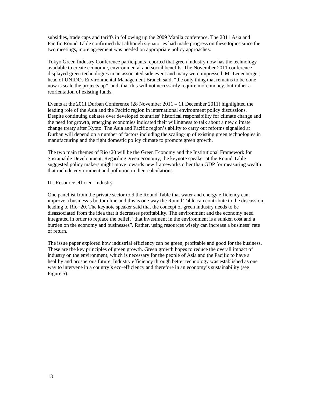subsidies, trade caps and tariffs in following up the 2009 Manila conference. The 2011 Asia and Pacific Round Table confirmed that although signatories had made progress on these topics since the two meetings, more agreement was needed on appropriate policy approaches.

Tokyo Green Industry Conference participants reported that green industry now has the technology available to create economic, environmental and social benefits. The November 2011 conference displayed green technologies in an associated side event and many were impressed. Mr Leuenberger, head of UNIDOs Environmental Management Branch said, "the only thing that remains to be done now is scale the projects up", and, that this will not necessarily require more money, but rather a reorientation of existing funds.

Events at the 2011 Durban Conference (28 November 2011 – 11 December 2011) highlighted the leading role of the Asia and the Pacific region in international environment policy discussions. Despite continuing debates over developed countries' historical responsibility for climate change and the need for growth, emerging economies indicated their willingness to talk about a new climate change treaty after Kyoto. The Asia and Pacific region's ability to carry out reforms signalled at Durban will depend on a number of factors including the scaling-up of existing green technologies in manufacturing and the right domestic policy climate to promote green growth.

The two main themes of Rio+20 will be the Green Economy and the Institutional Framework for Sustainable Development. Regarding green economy, the keynote speaker at the Round Table suggested policy makers might move towards new frameworks other than GDP for measuring wealth that include environment and pollution in their calculations.

#### III. Resource efficient industry

One panellist from the private sector told the Round Table that water and energy efficiency can improve a business's bottom line and this is one way the Round Table can contribute to the discussion leading to Rio+20. The keynote speaker said that the concept of green industry needs to be disassociated from the idea that it decreases profitability. The environment and the economy need integrated in order to replace the belief, "that investment in the environment is a sunken cost and a burden on the economy and businesses". Rather, using resources wisely can increase a business' rate of return.

The issue paper explored how industrial efficiency can be green, profitable and good for the business. These are the key principles of green growth. Green growth hopes to reduce the overall impact of industry on the environment, which is necessary for the people of Asia and the Pacific to have a healthy and prosperous future. Industry efficiency through better technology was established as one way to intervene in a country's eco-efficiency and therefore in an economy's sustainability (see Figure 5).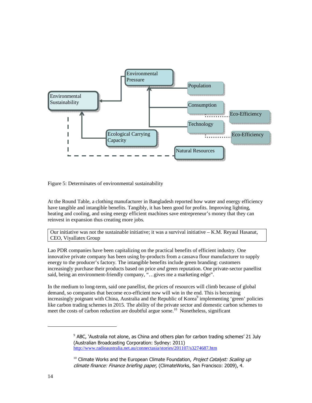

Figure 5: Determinates of environmental sustainability

At the Round Table, a clothing manufacturer in Bangladesh reported how water and energy efficiency have tangible and intangible benefits. Tangibly, it has been good for profits. Improving lighting, heating and cooling, and using energy efficient machines save entrepreneur's money that they can reinvest in expansion thus creating more jobs.

Our initiative was not the sustainable initiative; it was a survival initiative – K.M. Reyaul Hasanat, CEO, Viyallatex Group

Lao PDR companies have been capitalizing on the practical benefits of efficient industry. One innovative private company has been using by-products from a cassava flour manufacturer to supply energy to the producer's factory. The intangible benefits include green branding: customers increasingly purchase their products based on price *and* green reputation. One private-sector panellist said, being an environment-friendly company, "…gives me a marketing edge".

In the medium to long-term, said one panellist, the prices of resources will climb because of global demand, so companies that become eco-efficient now will win in the end. This is becoming increasingly poignant with China, Australia and the Republic of Korea<sup>9</sup> implementing 'green' policies like carbon trading schemes in 2015. The ability of the private sector and domestic carbon schemes to meet the costs of carbon reduction are doubtful argue some.<sup>10</sup> Nonetheless, significant

 $9$  ABC, `Australia not alone, as China and others plan for carbon trading schemes' 21 July (Australian Broadcasting Corporation: Sydney: 2011) http://www.radioaustralia.net.au/connectasia/stories/201107/s3274687.htm

 $10$  Climate Works and the European Climate Foundation, *Project Catalyst: Scaling up* climate finance: Finance briefing paper, (ClimateWorks, San Francisco: 2009), 4.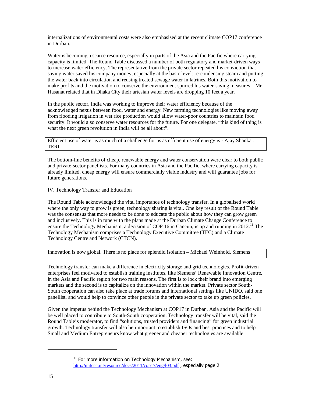internalizations of environmental costs were also emphasised at the recent climate COP17 conference in Durban.

Water is becoming a scarce resource, especially in parts of the Asia and the Pacific where carrying capacity is limited. The Round Table discussed a number of both regulatory and market-driven ways to increase water efficiency. The representative from the private sector repeated his conviction that saving water saved his company money, especially at the basic level: re-condensing steam and putting the water back into circulation and reusing treated sewage water in latrines. Both this motivation to make profits and the motivation to conserve the environment spurred his water-saving measures—Mr Hasanat related that in Dhaka City their artesian water levels are dropping 10 feet a year.

In the public sector, India was working to improve their water efficiency because of the acknowledged nexus between food, water and energy. New farming technologies like moving away from flooding irrigation in wet rice production would allow water-poor countries to maintain food security. It would also conserve water resources for the future. For one delegate, "this kind of thing is what the next green revolution in India will be all about".

Efficient use of water is as much of a challenge for us as efficient use of energy is - Ajay Shankar, TERI

The bottom-line benefits of cheap, renewable energy and water conservation were clear to both public and private-sector panellists. For many countries in Asia and the Pacific, where carrying capacity is already limited, cheap energy will ensure commercially viable industry and will guarantee jobs for future generations.

IV. Technology Transfer and Education

The Round Table acknowledged the vital importance of technology transfer. In a globalised world where the only way to grow is green, technology sharing is vital. One key result of the Round Table was the consensus that more needs to be done to educate the public about how they can grow green and inclusively. This is in tune with the plans made at the Durban Climate Change Conference to ensure the Technology Mechanism, a decision of COP 16 in Cancun, is up and running in 2012.<sup>11</sup> The Technology Mechanism comprises a Technology Executive Committee (TEC) and a Climate Technology Centre and Network (CTCN).

Innovation is now global. There is no place for splendid isolation – Michael Weinhold, Siemens

Technology transfer can make a difference in electricity storage and grid technologies. Profit-driven enterprises feel motivated to establish training institutes, like Siemens' Renewable Innovation Centre, in the Asia and Pacific region for two main reasons. The first is to lock their brand into emerging markets and the second is to capitalize on the innovation within the market. Private sector South-South cooperation can also take place at trade forums and international settings like UNIDO, said one panellist, and would help to convince other people in the private sector to take up green policies.

Given the impetus behind the Technology Mechanism at COP17 in Durban, Asia and the Pacific will be well placed to contribute to South-South cooperation. Technology transfer will be vital, said the Round Table's moderator, to find "solutions, trusted providers and financing" for green industrial growth. Technology transfer will also be important to establish ISOs and best practices and to help Small and Medium Entrepreneurs know what greener and cheaper technologies are available.

 $11$  For more information on Technology Mechanism, see: http://unfccc.int/resource/docs/2011/cop17/eng/l03.pdf , especially page 2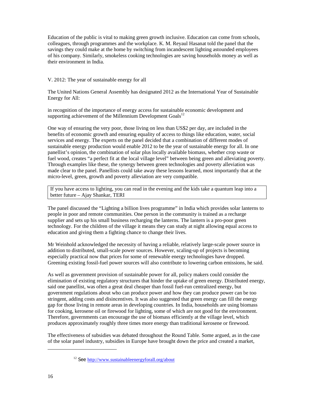Education of the public is vital to making green growth inclusive. Education can come from schools, colleagues, through programmes and the workplace. K. M. Reyaul Hasanat told the panel that the savings they could make at the home by switching from incandescent lighting astounded employees of his company. Similarly, smokeless cooking technologies are saving households money as well as their environment in India.

V. 2012: The year of sustainable energy for all

The United Nations General Assembly has designated 2012 as the International Year of Sustainable Energy for All:

in recognition of the importance of energy access for sustainable economic development and supporting achievement of the Millennium Development  $Goals<sup>12</sup>$ 

One way of ensuring the very poor, those living on less than US\$2 per day, are included in the benefits of economic growth and ensuring equality of access to things like education, water, social services and energy. The experts on the panel decided that a combination of different modes of sustainable energy production would enable 2012 to be the year of sustainable energy for all. In one panellist's opinion, the combination of solar plus locally available biomass, whether crop waste or fuel wood, creates "a perfect fit at the local village level" between being green and alleviating poverty. Through examples like these, the synergy between green technologies and poverty alleviation was made clear to the panel. Panellists could take away these lessons learned, most importantly that at the micro-level, green, growth and poverty alleviation are very compatible.

If you have access to lighting, you can read in the evening and the kids take a quantum leap into a better future – Ajay Shankar, TERI

The panel discussed the "Lighting a billion lives programme" in India which provides solar lanterns to people in poor and remote communities. One person in the community is trained as a recharge supplier and sets up his small business recharging the lanterns. The lantern is a pro-poor green technology. For the children of the village it means they can study at night allowing equal access to education and giving them a fighting chance to change their lives.

Mr Weinhold acknowledged the necessity of having a reliable, relatively large-scale power source in addition to distributed, small-scale power sources. However, scaling-up of projects is becoming especially practical now that prices for some of renewable energy technologies have dropped. Greening existing fossil-fuel power sources will also contribute to lowering carbon emissions, he said.

As well as government provision of sustainable power for all, policy makers could consider the elimination of existing regulatory structures that hinder the uptake of green energy. Distributed energy, said one panellist, was often a great deal cheaper than fossil fuel-run centralized energy, but government regulations about who can produce power and how they can produce power can be too stringent, adding costs and disincentives. It was also suggested that green energy can fill the energy gap for those living in remote areas in developing countries. In India, households are using biomass for cooking, kerosene oil or firewood for lighting, some of which are not good for the environment. Therefore, governments can encourage the use of biomass efficiently at the village level, which produces approximately roughly three times more energy than traditional kerosene or firewood.

The effectiveness of subsidies was debated throughout the Round Table. Some argued, as in the case of the solar panel industry, subsidies in Europe have brought down the price and created a market,

<sup>&</sup>lt;sup>12</sup> See http://www.sustainableenergyforall.org/about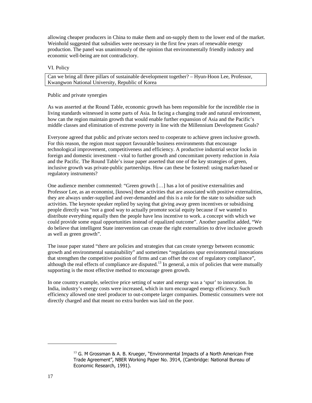allowing cheaper producers in China to make them and on-supply them to the lower end of the market. Weinhold suggested that subsidies were necessary in the first few years of renewable energy production. The panel was unanimously of the opinion that environmentally friendly industry and economic well-being are not contradictory.

#### VI. Policy

Can we bring all three pillars of sustainable development together? – Hyun-Hoon Lee, Professor, Kwangwon National University, Republic of Korea

#### Public and private synergies

As was asserted at the Round Table, economic growth has been responsible for the incredible rise in living standards witnessed in some parts of Asia. In facing a changing trade and natural environment, how can the region maintain growth that would enable further expansion of Asia and the Pacific's middle classes and elimination of extreme poverty in line with the Millennium Development Goals?

Everyone agreed that public and private sectors need to cooperate to achieve green inclusive growth. For this reason, the region must support favourable business environments that encourage technological improvement, competitiveness and efficiency. A productive industrial sector locks in foreign and domestic investment - vital to further growth and concomitant poverty reduction in Asia and the Pacific. The Round Table's issue paper asserted that one of the key strategies of green, inclusive growth was private-public partnerships. How can these be fostered: using market-based or regulatory instruments?

One audience member commented: "Green growth […] has a lot of positive externalities and Professor Lee, as an economist, [knows] these activities that are associated with positive externalities, they are always under-supplied and over-demanded and this is a role for the state to subsidize such activities. The keynote speaker replied by saying that giving away green incentives or subsidising people directly was "not a good way to actually promote social equity because if we wanted to distribute everything equally then the people have less incentive to work. a concept with which we could provide some equal opportunities instead of equalized outcome". Another panellist added, "We do believe that intelligent State intervention can create the right externalities to drive inclusive growth as well as green growth".

The issue paper stated "there are policies and strategies that can create synergy between economic growth and environmental sustainability" and sometimes "regulations spur environmental innovations that strengthen the competitive position of firms and can offset the cost of regulatory compliance", although the real effects of compliance are disputed.<sup>13</sup> In general, a mix of policies that were mutually supporting is the most effective method to encourage green growth.

In one country example, selective price setting of water and energy was a 'spur' to innovation. In India, industry's energy costs were increased, which in turn encouraged energy efficiency. Such efficiency allowed one steel producer to out-compete larger companies. Domestic consumers were not directly charged and that meant no extra burden was laid on the poor.

 $13$  G. M Grossman & A. B. Krueger, "Environmental Impacts of a North American Free Trade Agreement", NBER Working Paper No. 3914, (Cambridge: National Bureau of Economic Research, 1991).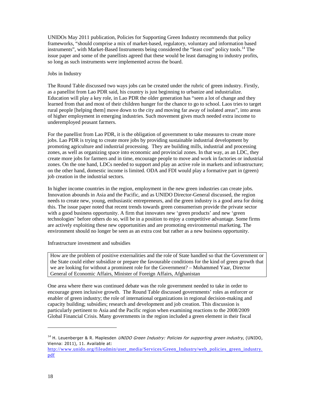UNIDOs May 2011 publication, Policies for Supporting Green Industry recommends that policy frameworks, "should comprise a mix of market-based, regulatory, voluntary and information based instruments", with Market-Based Instruments being considered the "least cost" policy tools.<sup>14</sup> The issue paper and some of the panellists agreed that these would be least damaging to industry profits, so long as such instruments were implemented across the board.

#### Jobs in Industry

The Round Table discussed two ways jobs can be created under the rubric of green industry. Firstly, as a panellist from Lao PDR said, his country is just beginning to urbanize and industrialize. Education will play a key role, in Lao PDR the older generation has "seen a lot of change and they learned from that and most of their children hunger for the chance to go to school. Laos tries to target rural people [helping them] move down to the city and moving far away of isolated areas", into areas of higher employment in emerging industries. Such movement gives much needed extra income to underemployed peasant farmers.

For the panellist from Lao PDR, it is the obligation of government to take measures to create more jobs. Lao PDR is trying to create more jobs by providing sustainable industrial development by promoting agriculture and industrial processing. They are building mills, industrial and processing zones, as well as organizing space into economic and provincial zones. In that way, as an LDC, they create more jobs for farmers and in time, encourage people to move and work in factories or industrial zones. On the one hand, LDCs needed to support and play an active role in markets and infrastructure; on the other hand, domestic income is limited. ODA and FDI would play a formative part in (green) job creation in the industrial sectors.

In higher income countries in the region, employment in the new green industries can create jobs. Innovation abounds in Asia and the Pacific, and as UNIDO Director-General discussed, the region needs to create new, young, enthusiastic entrepreneurs, and the green industry is a good area for doing this. The issue paper noted that recent trends towards green consumerism provide the private sector with a good business opportunity. A firm that innovates new 'green products' and new 'green technologies' before others do so, will be in a position to enjoy a competitive advantage. Some firms are actively exploiting these new opportunities and are promoting environmental marketing. The environment should no longer be seen as an extra cost but rather as a new business opportunity.

### Infrastructure investment and subsidies

How are the problem of positive externalities and the role of State handled so that the Government or the State could either subsidize or prepare the favourable conditions for the kind of green growth that we are looking for without a prominent role for the Government? – Mohammed Yaar, Director General of Economic Affairs, Minister of Foreign Affairs, Afghanistan

One area where there was continued debate was the role government needed to take in order to encourage green inclusive growth. The Round Table discussed governments' roles as enforcer or enabler of green industry; the role of international organizations in regional decision-making and capacity building; subsidies; research and development and job creation. This discussion is particularly pertinent to Asia and the Pacific region when examining reactions to the 2008/2009 Global Financial Crisis. Many governments in the region included a green element in their fiscal

 $^{14}$  H. Leuenberger & R. Maplesden *UNIDO Green Industry: Policies for supporting green industry,* (UNIDO, Vienna: 2011), 11. Available at:

http://www.unido.org/fileadmin/user\_media/Services/Green\_Industry/web\_policies\_green\_industry. pdf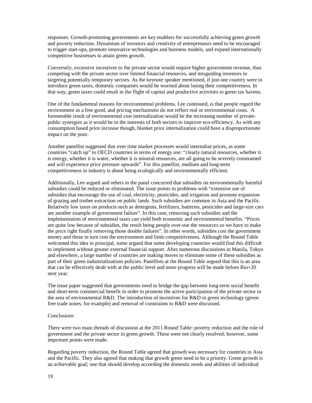responses. Growth-promoting governments are key enablers for successfully achieving green growth and poverty reduction. Dynamism of investors and creativity of entrepreneurs need to be encouraged to trigger start-ups, promote innovative technologies and business models, and expand internationally competitive businesses to attain green growth.

Conversely, excessive incentives to the private sector would require higher government revenue, thus competing with the private sector over limited financial resources, and misguiding investors in targeting potentially temporary sectors. As the keynote speaker mentioned, if just one country were to introduce green taxes, domestic companies would be worried about losing their competitiveness. In that way, green taxes could result in the flight of capital and productive activities to green tax havens.

One of the fundamental reasons for environmental problems, Lee continued, is that people regard the environment as a free good, and pricing mechanisms do not reflect real or environmental costs. A foreseeable result of environmental cost internalization would be the increasing number of privatepublic synergies as it would be in the interests of both sectors to improve eco-efficiency. As with any consumption based price increase though, blanket price internalization could have a disproportionate impact on the poor.

Another panellist suggested that over time market processes would internalise prices, as some countries "catch up" to OECD countries in terms of energy use: "clearly natural resources, whether it is energy, whether it is water, whether it is mineral resources, are all going to be severely constrained and will experience price pressure upwards". For this panellist, medium and long-term competitiveness in industry is about being ecologically and environmentally efficient.

Additionally, Lee argued and others in the panel concurred that subsidies on environmentally harmful subsidies could be reduced or eliminated. The issue points to problems with "extensive use of subsidies that encourage the use of coal, electricity, pesticides, and irrigation and promote expansion of grazing and timber extraction on public lands. Such subsidies are common in Asia and the Pacific. Relatively low taxes on products such as detergents, fertilizers, batteries, pesticides and large-size cars are another example of government failure". In this case, removing such subsidies and the implementation of environmental taxes can yield both economic and environmental benefits. "Prices are quite low because of subsidies, the result being people over-use the resources so we have to make the price right finally removing those double failures". In other words, subsidies cost the government money and these in turn cost the environment and limit competitiveness. Although the Round Table welcomed this idea in principal, some argued that some developing countries would find this difficult to implement without greater external financial support. After numerous discussions in Manila, Tokyo and elsewhere, a large number of countries are making moves to eliminate some of these subsidies as part of their green industrializations policies. Panellists at the Round Table argued that this is an area that can be effectively dealt with at the public level and more progress will be made before Rio+20 next year.

The issue paper suggested that governments need to bridge the gap between long-term social benefit and short-term commercial benefit in order to promote the active participation of the private sector in the area of environmental R&D. The introduction of incentives for R&D in green technology (green free trade zones, for example) and removal of constraints to R&D were discussed.

#### **Conclusions**

There were two main threads of discussion at the 2011 Round Table: poverty reduction and the role of government and the private sector in green growth. These were not clearly resolved; however, some important points were made.

Regarding poverty reduction, the Round Table agreed that growth was necessary for countries in Asia and the Pacific. They also agreed that making that growth green need to be a priority. Green growth is an achievable goal; one that should develop according the domestic needs and abilities of individual